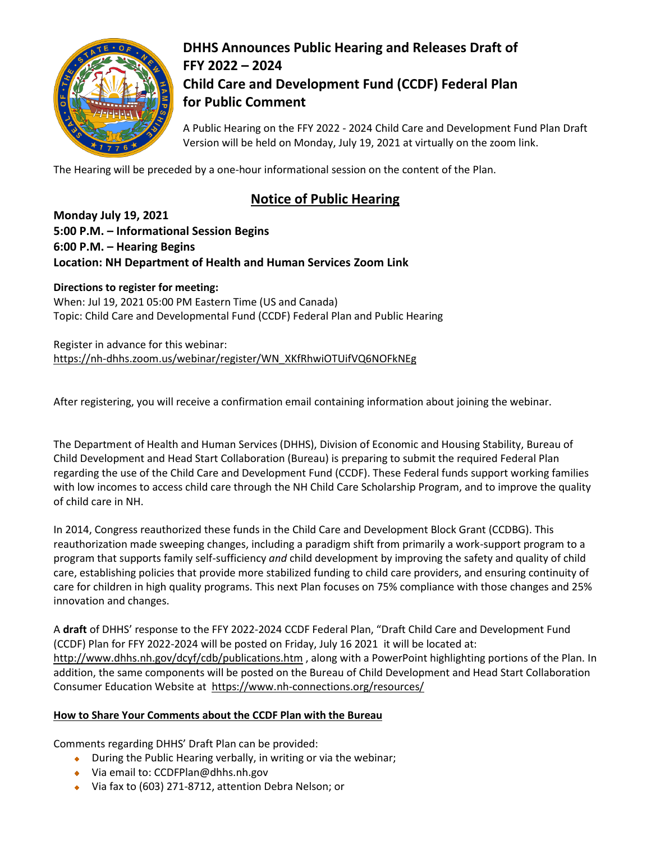

## **DHHS Announces Public Hearing and Releases Draft of FFY 2022 – 2024 Child Care and Development Fund (CCDF) Federal Plan for Public Comment**

A Public Hearing on the FFY 2022 - 2024 Child Care and Development Fund Plan Draft Version will be held on Monday, July 19, 2021 at virtually on the zoom link.

The Hearing will be preceded by a one-hour informational session on the content of the Plan.

## **Notice of Public Hearing**

**Monday July 19, 2021 5:00 P.M. – Informational Session Begins 6:00 P.M. – Hearing Begins Location: NH Department of Health and Human Services Zoom Link**

**Directions to register for meeting:**  When: Jul 19, 2021 05:00 PM Eastern Time (US and Canada) Topic: Child Care and Developmental Fund (CCDF) Federal Plan and Public Hearing

Register in advance for this webinar: [https://nh-dhhs.zoom.us/webinar/register/WN\\_XKfRhwiOTUifVQ6NOFkNEg](https://nh-dhhs.zoom.us/webinar/register/WN_XKfRhwiOTUifVQ6NOFkNEg)

After registering, you will receive a confirmation email containing information about joining the webinar.

The Department of Health and Human Services (DHHS), Division of Economic and Housing Stability, Bureau of Child Development and Head Start Collaboration (Bureau) is preparing to submit the required Federal Plan regarding the use of the Child Care and Development Fund (CCDF). These Federal funds support working families with low incomes to access child care through the NH Child Care Scholarship Program, and to improve the quality of child care in NH.

In 2014, Congress reauthorized these funds in the Child Care and Development Block Grant (CCDBG). This reauthorization made sweeping changes, including a paradigm shift from primarily a work-support program to a program that supports family self-sufficiency *and* child development by improving the safety and quality of child care, establishing policies that provide more stabilized funding to child care providers, and ensuring continuity of care for children in high quality programs. This next Plan focuses on 75% compliance with those changes and 25% innovation and changes.

A **draft** of DHHS' response to the FFY 2022-2024 CCDF Federal Plan, "Draft Child Care and Development Fund (CCDF) Plan for FFY 2022-2024 will be posted on Friday, July 16 2021 it will be located at: <http://www.dhhs.nh.gov/dcyf/cdb/publications.htm> , along with a PowerPoint highlighting portions of the Plan. In addition, the same components will be posted on the Bureau of Child Development and Head Start Collaboration Consumer Education Website at <https://www.nh-connections.org/resources/>

## **How to Share Your Comments about the CCDF Plan with the Bureau**

Comments regarding DHHS' Draft Plan can be provided:

- During the Public Hearing verbally, in writing or via the webinar;
- ◆ Via email to: CCDFPlan@dhhs.nh.gov
- Via fax to (603) 271-8712, attention Debra Nelson; or